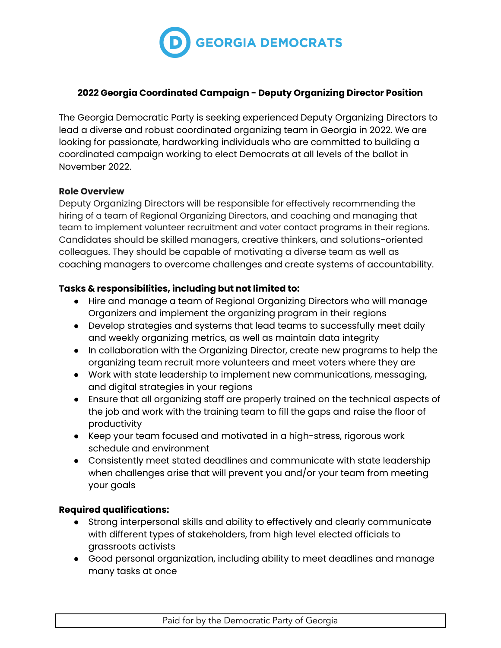

### **2022 Georgia Coordinated Campaign - Deputy Organizing Director Position**

The Georgia Democratic Party is seeking experienced Deputy Organizing Directors to lead a diverse and robust coordinated organizing team in Georgia in 2022. We are looking for passionate, hardworking individuals who are committed to building a coordinated campaign working to elect Democrats at all levels of the ballot in November 2022.

#### **Role Overview**

Deputy Organizing Directors will be responsible for effectively recommending the hiring of a team of Regional Organizing Directors, and coaching and managing that team to implement volunteer recruitment and voter contact programs in their regions. Candidates should be skilled managers, creative thinkers, and solutions-oriented colleagues. They should be capable of motivating a diverse team as well as coaching managers to overcome challenges and create systems of accountability.

## **Tasks & responsibilities, including but not limited to:**

- Hire and manage a team of Regional Organizing Directors who will manage Organizers and implement the organizing program in their regions
- Develop strategies and systems that lead teams to successfully meet daily and weekly organizing metrics, as well as maintain data integrity
- In collaboration with the Organizing Director, create new programs to help the organizing team recruit more volunteers and meet voters where they are
- Work with state leadership to implement new communications, messaging, and digital strategies in your regions
- Ensure that all organizing staff are properly trained on the technical aspects of the job and work with the training team to fill the gaps and raise the floor of productivity
- Keep your team focused and motivated in a high-stress, rigorous work schedule and environment
- Consistently meet stated deadlines and communicate with state leadership when challenges arise that will prevent you and/or your team from meeting your goals

#### **Required qualifications:**

- Strong interpersonal skills and ability to effectively and clearly communicate with different types of stakeholders, from high level elected officials to grassroots activists
- Good personal organization, including ability to meet deadlines and manage many tasks at once